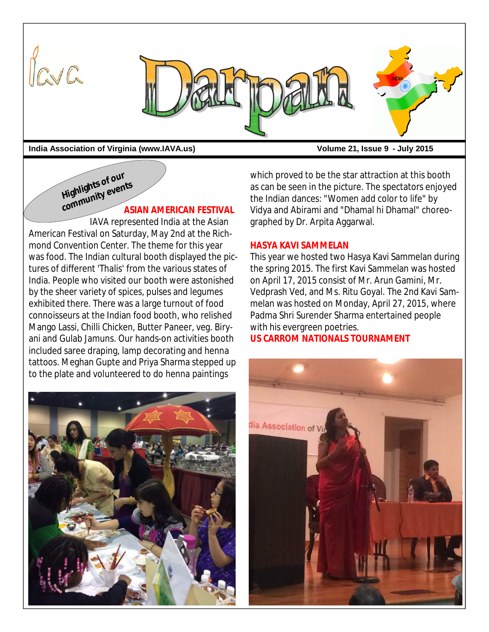

**India Association of Virginia (www.IAVA.us) Material Control of Virginia (www.IAVA.us) Materia Control Control Virginia (www.IAVA.us)** 

**Highlights of our** 

**ASIAN AMERICAN FESTIVAL** community events

IAVA represented India at the Asian American Festival on Saturday, May 2nd at the Richmond Convention Center. The theme for this year was food. The Indian cultural booth displayed the pictures of different 'Thalis' from the various states of India. People who visited our booth were astonished by the sheer variety of spices, pulses and legumes exhibited there. There was a large turnout of food connoisseurs at the Indian food booth, who relished Mango Lassi, Chilli Chicken, Butter Paneer, veg. Biryani and Gulab Jamuns. Our hands-on activities booth included saree draping, lamp decorating and henna tattoos. Meghan Gupte and Priya Sharma stepped up to the plate and volunteered to do henna paintings



which proved to be the star attraction at this booth as can be seen in the picture. The spectators enjoyed the Indian dances: "Women add color to life" by Vidya and Abirami and "Dhamal hi Dhamal" choreographed by Dr. Arpita Aggarwal.

#### **HASYA KAVI SAMMELAN**

This year we hosted two Hasya Kavi Sammelan during the spring 2015. The first Kavi Sammelan was hosted on April 17, 2015 consist of Mr. Arun Gamini, Mr. Vedprash Ved, and Ms. Ritu Goyal. The 2nd Kavi Sammelan was hosted on Monday, April 27, 2015, where Padma Shri Surender Sharma entertained people with his evergreen poetries.

#### **US CARROM NATIONALS TOURNAMENT**

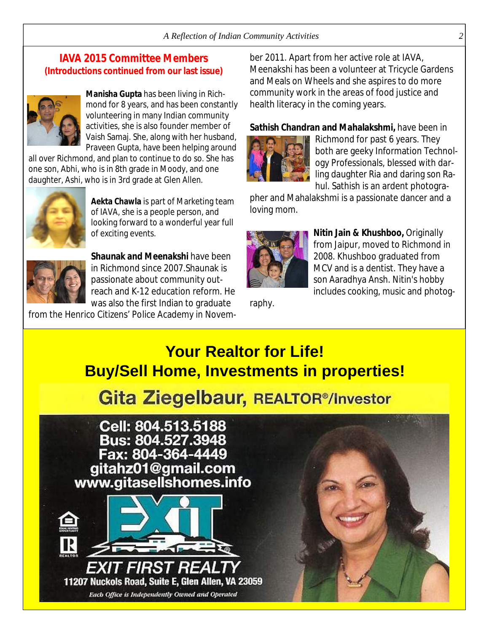#### **IAVA 2015 Committee Members (Introductions continued from our last issue)**



**Manisha Gupta** has been living in Richmond for 8 years, and has been constantly volunteering in many Indian community activities, she is also founder member of Vaish Samaj. She, along with her husband, Praveen Gupta, have been helping around

all over Richmond, and plan to continue to do so. She has one son, Abhi, who is in 8th grade in Moody, and one daughter, Ashi, who is in 3rd grade at Glen Allen.



**Aekta Chawla** is part of Marketing team of IAVA, she is a people person, and looking forward to a wonderful year full of exciting events.



**Shaunak and Meenakshi** have been in Richmond since 2007.Shaunak is passionate about community outreach and K-12 education reform. He was also the first Indian to graduate

from the Henrico Citizens' Police Academy in Novem-

ber 2011. Apart from her active role at IAVA, Meenakshi has been a volunteer at Tricycle Gardens and Meals on Wheels and she aspires to do more community work in the areas of food justice and health literacy in the coming years.

**Sathish Chandran and Mahalakshmi,** have been in



Richmond for past 6 years. They both are geeky Information Technology Professionals, blessed with darling daughter Ria and daring son Rahul. Sathish is an ardent photogra-

pher and Mahalakshmi is a passionate dancer and a loving mom.



**Nitin Jain & Khushboo,** Originally from Jaipur, moved to Richmond in 2008. Khushboo graduated from MCV and is a dentist. They have a son Aaradhya Ansh. Nitin's hobby includes cooking, music and photog-

raphy.

# **Your Realtor for Life! Buy/Sell Home, Investments in properties!**

Gita Ziegelbaur, REALTOR<sup>®</sup>/Investor

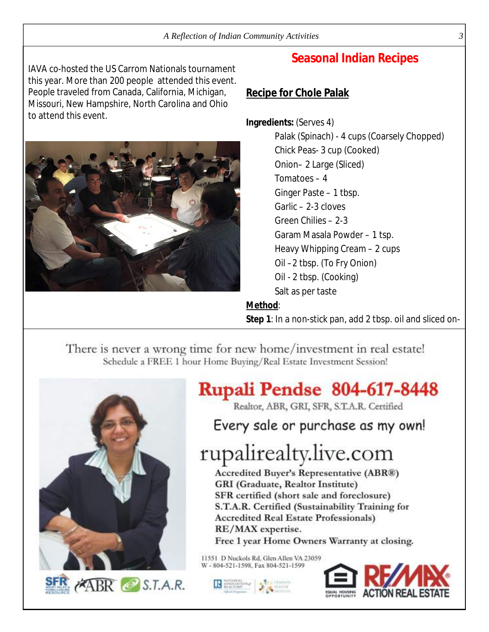#### *A Reflection of Indian Community Activities 3*

IAVA co-hosted the US Carrom Nationals tournament this year. More than 200 people attended this event. People traveled from Canada, California, Michigan, Missouri, New Hampshire, North Carolina and Ohio to attend this event.

# **Seasonal Indian Recipes**

### **Recipe for Chole Palak**

**Ingredients:** (Serves 4) Palak (Spinach) - 4 cups (Coarsely Chopped) Chick Peas- 3 cup (Cooked) Onion– 2 Large (Sliced) Tomatoes – 4 Ginger Paste – 1 tbsp. Garlic – 2-3 cloves Green Chilies – 2-3 Garam Masala Powder – 1 tsp. Heavy Whipping Cream – 2 cups Oil –2 tbsp. (To Fry Onion) Oil - 2 tbsp. (Cooking) Salt as per taste

# **Method**:

**Step 1**: In a non-stick pan, add 2 tbsp. oil and sliced on-

There is never a wrong time for new home/investment in real estate! Schedule a FREE 1 hour Home Buying/Real Estate Investment Session!





# **Rupali Pendse 804-617-8448**

Realtor, ABR, GRI, SFR, S.T.A.R. Certified

Every sale or purchase as my own!

# rupalirealty.live.com

Accredited Buyer's Representative (ABR®) **GRI** (Graduate, Realtor Institute) SFR certified (short sale and foreclosure) S.T.A.R. Certified (Sustainability Training for **Accredited Real Estate Professionals)** RE/MAX expertise.

Free 1 year Home Owners Warranty at closing.

11551 D Nuckols Rd, Glen Allen VA 23059 W - 804-521-1598, Fax 804-521-1599



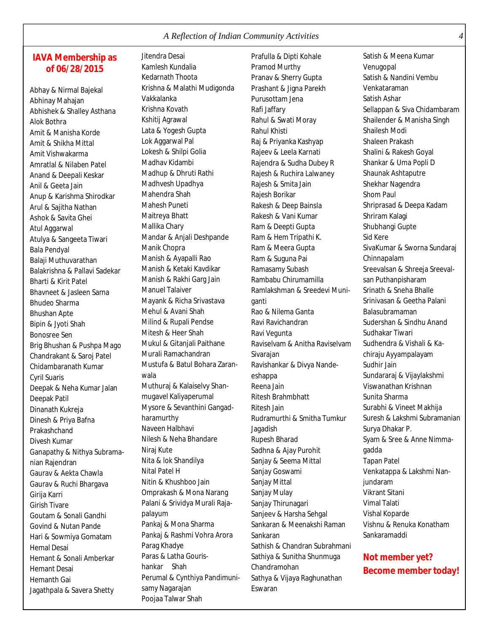#### *A Reflection of Indian Community Activities 4*

#### **IAVA Membership as of 06/28/2015**

Abhay & Nirmal Bajekal Abhinay Mahajan Abhishek & Shalley Asthana Alok Bothra Amit & Manisha Korde Amit & Shikha Mittal Amit Vishwakarma Amratlal & Nilaben Patel Anand & Deepali Keskar Anil & Geeta Jain Anup & Karishma Shirodkar Arul & Sajitha Nathan Ashok & Savita Ghei Atul Aggarwal Atulya & Sangeeta Tiwari Bala Pendyal Balaji Muthuvarathan Balakrishna & Pallavi Sadekar Bharti & Kirit Patel Bhavneet & Jasleen Sarna Bhudeo Sharma Bhushan Apte Bipin & Jyoti Shah Bonosree Sen Brig Bhushan & Pushpa Mago Chandrakant & Saroj Patel Chidambaranath Kumar Cyril Suaris Deepak & Neha Kumar Jalan Deepak Patil Dinanath Kukreja Dinesh & Priya Bafna Prakashchand Divesh Kumar Ganapathy & Nithya Subramanian Rajendran Gaurav & Aekta Chawla Gaurav & Ruchi Bhargava Girija Karri Girish Tivare Goutam & Sonali Gandhi Govind & Nutan Pande Hari & Sowmiya Gomatam Hemal Desai Hemant & Sonali Amberkar Hemant Desai Hemanth Gai Jagathpala & Savera Shetty

Jitendra Desai Kamlesh Kundalia Kedarnath Thoota Krishna & Malathi Mudigonda Vakkalanka Krishna Kovath Kshitij Agrawal Lata & Yogesh Gupta Lok Aggarwal Pal Lokesh & Shilpi Golia Madhav Kidambi Madhup & Dhruti Rathi Madhvesh Upadhya Mahendra Shah Mahesh Puneti Maitreya Bhatt Mallika Chary Mandar & Anjali Deshpande Manik Chopra Manish & Ayapalli Rao Manish & Ketaki Kavdikar Manish & Rakhi Garg Jain Manuel Talaiver Mayank & Richa Srivastava Mehul & Avani Shah Milind & Rupali Pendse Mitesh & Heer Shah Mukul & Gitanjali Paithane Murali Ramachandran Mustufa & Batul Bohara Zaranwala Muthuraj & Kalaiselvy Shanmugavel Kaliyaperumal Mysore & Sevanthini Gangadharamurthy Naveen Halbhavi Nilesh & Neha Bhandare Niraj Kute Nita & lok Shandilya Nital Patel H Nitin & Khushboo Jain Omprakash & Mona Narang Palani & Srividya Murali Rajapalayum Pankaj & Mona Sharma Pankaj & Rashmi Vohra Arora Parag Khadye Paras & Latha Gourishankar Shah Perumal & Cynthiya Pandimunisamy Nagarajan Poojaa Talwar Shah

Prafulla & Dipti Kohale Pramod Murthy Pranav & Sherry Gupta Prashant & Jigna Parekh Purusottam Jena Rafi Jaffary Rahul & Swati Moray Rahul Khisti Raj & Priyanka Kashyap Rajeev & Leela Karnati Rajendra & Sudha Dubey R Rajesh & Ruchira Lalwaney Rajesh & Smita Jain Rajesh Borikar Rakesh & Deep Bainsla Rakesh & Vani Kumar Ram & Deepti Gupta Ram & Hem Tripathi K. Ram & Meera Gupta Ram & Suguna Pai Ramasamy Subash Rambabu Chirumamilla Ramlakshman & Sreedevi Muniganti Rao & Nilema Ganta Ravi Ravichandran Ravi Vegunta Raviselvam & Anitha Raviselvam Sivaraian Ravishankar & Divya Nandeeshappa Reena Jain Ritesh Brahmbhatt Ritesh Jain Rudramurthi & Smitha Tumkur Jagadish Rupesh Bharad Sadhna & Ajay Purohit Sanjay & Seema Mittal Sanjay Goswami Sanjay Mittal Sanjay Mulay Sanjay Thirunagari Sanjeev & Harsha Sehgal Sankaran & Meenakshi Raman Sankaran Sathish & Chandran Subrahmani Sathiya & Sunitha Shunmuga Chandramohan Sathya & Vijaya Raghunathan Eswaran

Satish & Meena Kumar Venugopal Satish & Nandini Vembu Venkataraman Satish Ashar Sellappan & Siva Chidambaram Shailender & Manisha Singh Shailesh Modi Shaleen Prakash Shalini & Rakesh Goyal Shankar & Uma Popli D Shaunak Ashtaputre Shekhar Nagendra Shom Paul Shriprasad & Deepa Kadam Shriram Kalagi Shubhangi Gupte Sid Kere SivaKumar & Sworna Sundaraj Chinnapalam Sreevalsan & Shreeja Sreevalsan Puthanpisharam Srinath & Sneha Bhalle Srinivasan & Geetha Palani Balasubramaman Sudershan & Sindhu Anand Sudhakar Tiwari Sudhendra & Vishali & Kachiraju Ayyampalayam Sudhir Jain Sundararaj & Vijaylakshmi Viswanathan Krishnan Sunita Sharma Surabhi & Vineet Makhija Suresh & Lakshmi Subramanian Surya Dhakar P. Syam & Sree & Anne Nimmagadda Tapan Patel Venkatappa & Lakshmi Nanjundaram Vikrant Sitani Vimal Talati Vishal Koparde Vishnu & Renuka Konatham Sankaramaddi

**Not member yet? Become member today!**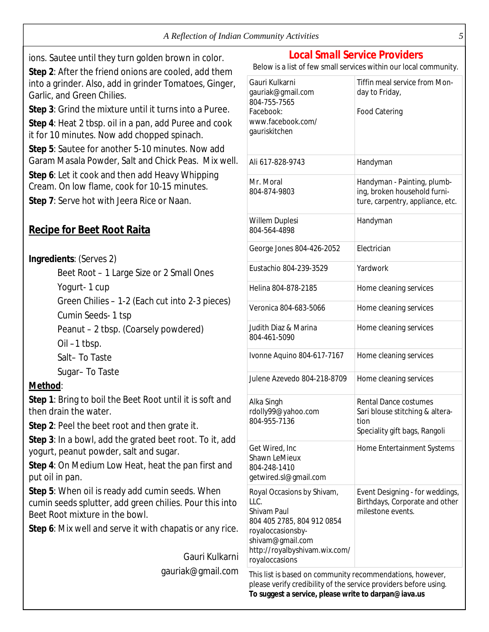ions. Sautee until they turn golden brown in color.

**Step 2**: After the friend onions are cooled, add them into a grinder. Also, add in grinder Tomatoes, Ginger, Garlic, and Green Chilies.

**Step 3**: Grind the mixture until it turns into a Puree.

**Step 4**: Heat 2 tbsp. oil in a pan, add Puree and cook it for 10 minutes. Now add chopped spinach.

**Step 5**: Sautee for another 5-10 minutes. Now add Garam Masala Powder, Salt and Chick Peas. Mix well.

**Step 6**: Let it cook and then add Heavy Whipping Cream. On low flame, cook for 10-15 minutes.

**Step 7**: Serve hot with Jeera Rice or Naan.

# **Recipe for Beet Root Raita**

**Ingredients**: (Serves 2)

Beet Root – 1 Large Size or 2 Small Ones

Yogurt- 1 cup

Green Chilies – 1-2 (Each cut into 2-3 pieces)

Cumin Seeds- 1 tsp

Peanut – 2 tbsp. (Coarsely powdered)

- Oil –1 tbsp.
- Salt– To Taste
- Sugar– To Taste

### **Method**:

**Step 1**: Bring to boil the Beet Root until it is soft and then drain the water.

**Step 2**: Peel the beet root and then grate it.

**Step 3**: In a bowl, add the grated beet root. To it, add yogurt, peanut powder, salt and sugar.

**Step 4**: On Medium Low Heat, heat the pan first and put oil in pan.

**Step 5**: When oil is ready add cumin seeds. When cumin seeds splutter, add green chilies. Pour this into Beet Root mixture in the bowl.

**Step 6**: Mix well and serve it with chapatis or any rice.

Gauri Kulkarni gauriak@gmail.com

### **Local Small Service Providers**

Below is a list of few small services within our local community.

| Gauri Kulkarni<br>gauriak@gmail.com<br>804-755-7565<br>Facebook:<br>www.facebook.com/<br>gauriskitchen                                                                                | Tiffin meal service from Mon-<br>day to Friday,<br><b>Food Catering</b>                           |
|---------------------------------------------------------------------------------------------------------------------------------------------------------------------------------------|---------------------------------------------------------------------------------------------------|
| Ali 617-828-9743                                                                                                                                                                      | Handyman                                                                                          |
| Mr. Moral<br>804-874-9803                                                                                                                                                             | Handyman - Painting, plumb-<br>ing, broken household furni-<br>ture, carpentry, appliance, etc.   |
| <b>Willem Duplesi</b><br>804-564-4898                                                                                                                                                 | Handyman                                                                                          |
| George Jones 804-426-2052                                                                                                                                                             | Electrician                                                                                       |
| Eustachio 804-239-3529                                                                                                                                                                | Yardwork                                                                                          |
| Helina 804-878-2185                                                                                                                                                                   | Home cleaning services                                                                            |
| Veronica 804-683-5066                                                                                                                                                                 | Home cleaning services                                                                            |
| Judith Diaz & Marina<br>804-461-5090                                                                                                                                                  | Home cleaning services                                                                            |
| Ivonne Aquino 804-617-7167                                                                                                                                                            | Home cleaning services                                                                            |
| Julene Azevedo 804-218-8709                                                                                                                                                           | Home cleaning services                                                                            |
| Alka Singh<br>rdolly99@yahoo.com<br>804-955-7136                                                                                                                                      | Rental Dance costumes<br>Sari blouse stitching & altera-<br>tion<br>Speciality gift bags, Rangoli |
| Get Wired, Inc.<br><b>Shawn LeMieux</b><br>804-248-1410<br>getwired.sl@gmail.com                                                                                                      | Home Entertainment Systems                                                                        |
| Royal Occasions by Shivam,<br>LLC.<br>Shivam Paul<br>804 405 2785, 804 912 0854<br>royaloccasionsby-<br>shivam@gmail.com<br>http://royalbyshivam.wix.com/<br>royaloccasions           | Event Designing - for weddings,<br>Birthdays, Corporate and other<br>milestone events.            |
| This list is based on community recommendations, however,<br>please verify credibility of the service providers before using.<br>To suggest a service, please write to darpan@iava.us |                                                                                                   |